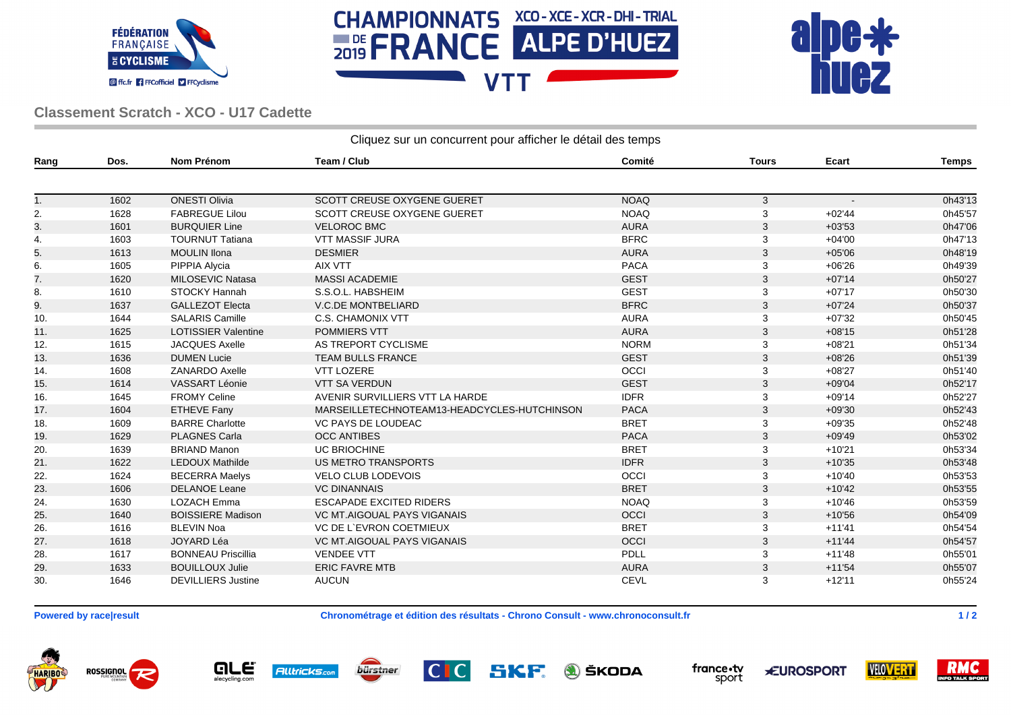





## **Classement Scratch - XCO - U17 Cadette**

| Cliquez sur un concurrent pour afficher le détail des temps |      |                            |                                             |             |              |          |              |  |  |  |
|-------------------------------------------------------------|------|----------------------------|---------------------------------------------|-------------|--------------|----------|--------------|--|--|--|
| Rang                                                        | Dos. | <b>Nom Prénom</b>          | Team / Club                                 | Comité      | <b>Tours</b> | Ecart    | <b>Temps</b> |  |  |  |
|                                                             |      |                            |                                             |             |              |          |              |  |  |  |
| 1.                                                          | 1602 | <b>ONESTI Olivia</b>       | <b>SCOTT CREUSE OXYGENE GUERET</b>          | <b>NOAQ</b> | $\mathbf{3}$ |          | 0h43'13      |  |  |  |
| 2.                                                          | 1628 | <b>FABREGUE Lilou</b>      | SCOTT CREUSE OXYGENE GUERET                 | <b>NOAQ</b> | 3            | $+02'44$ | 0h45'57      |  |  |  |
| 3.                                                          | 1601 | <b>BURQUIER Line</b>       | <b>VELOROC BMC</b>                          | <b>AURA</b> | 3            | $+03'53$ | 0h47'06      |  |  |  |
| 4.                                                          | 1603 | <b>TOURNUT Tatiana</b>     | <b>VTT MASSIF JURA</b>                      | <b>BFRC</b> | 3            | $+04'00$ | 0h47'13      |  |  |  |
| 5.                                                          | 1613 | <b>MOULIN Ilona</b>        | <b>DESMIER</b>                              | <b>AURA</b> | 3            | $+05'06$ | 0h48'19      |  |  |  |
| 6.                                                          | 1605 | PIPPIA Alycia              | <b>AIX VTT</b>                              | <b>PACA</b> | 3            | $+06'26$ | 0h49'39      |  |  |  |
| 7.                                                          | 1620 | MILOSEVIC Natasa           | <b>MASSI ACADEMIE</b>                       | <b>GEST</b> | 3            | $+07'14$ | 0h50'27      |  |  |  |
| 8.                                                          | 1610 | STOCKY Hannah              | S.S.O.L. HABSHEIM                           | <b>GEST</b> | 3            | $+07'17$ | 0h50'30      |  |  |  |
| 9.                                                          | 1637 | <b>GALLEZOT Electa</b>     | <b>V.C.DE MONTBELIARD</b>                   | <b>BFRC</b> | 3            | $+07'24$ | 0h50'37      |  |  |  |
| 10.                                                         | 1644 | <b>SALARIS Camille</b>     | <b>C.S. CHAMONIX VTT</b>                    | <b>AURA</b> | 3            | $+07'32$ | 0h50'45      |  |  |  |
| 11.                                                         | 1625 | <b>LOTISSIER Valentine</b> | <b>POMMIERS VTT</b>                         | <b>AURA</b> | 3            | $+08'15$ | 0h51'28      |  |  |  |
| 12.                                                         | 1615 | <b>JACQUES Axelle</b>      | AS TREPORT CYCLISME                         | <b>NORM</b> | 3            | $+08'21$ | 0h51'34      |  |  |  |
| 13.                                                         | 1636 | <b>DUMEN Lucie</b>         | <b>TEAM BULLS FRANCE</b>                    | <b>GEST</b> | 3            | $+08'26$ | 0h51'39      |  |  |  |
| 14.                                                         | 1608 | ZANARDO Axelle             | <b>VTT LOZERE</b>                           | OCCI        | 3            | $+08'27$ | 0h51'40      |  |  |  |
| 15.                                                         | 1614 | VASSART Léonie             | <b>VTT SA VERDUN</b>                        | <b>GEST</b> | 3            | $+09'04$ | 0h52'17      |  |  |  |
| 16.                                                         | 1645 | <b>FROMY Celine</b>        | AVENIR SURVILLIERS VTT LA HARDE             | <b>IDFR</b> | 3            | $+09'14$ | 0h52'27      |  |  |  |
| 17.                                                         | 1604 | <b>ETHEVE Fany</b>         | MARSEILLETECHNOTEAM13-HEADCYCLES-HUTCHINSON | <b>PACA</b> | 3            | $+09'30$ | 0h52'43      |  |  |  |
| 18.                                                         | 1609 | <b>BARRE Charlotte</b>     | VC PAYS DE LOUDEAC                          | <b>BRET</b> | 3            | $+09'35$ | 0h52'48      |  |  |  |
| 19.                                                         | 1629 | <b>PLAGNES Carla</b>       | <b>OCC ANTIBES</b>                          | <b>PACA</b> | 3            | $+09'49$ | 0h53'02      |  |  |  |
| 20.                                                         | 1639 | <b>BRIAND Manon</b>        | <b>UC BRIOCHINE</b>                         | <b>BRET</b> | 3            | $+10'21$ | 0h53'34      |  |  |  |
| 21.                                                         | 1622 | <b>LEDOUX Mathilde</b>     | <b>US METRO TRANSPORTS</b>                  | <b>IDFR</b> | 3            | $+10'35$ | 0h53'48      |  |  |  |
| 22.                                                         | 1624 | <b>BECERRA Maelys</b>      | <b>VELO CLUB LODEVOIS</b>                   | <b>OCCI</b> | 3            | $+10'40$ | 0h53'53      |  |  |  |
| 23.                                                         | 1606 | <b>DELANOE Leane</b>       | <b>VC DINANNAIS</b>                         | <b>BRET</b> | 3            | $+10'42$ | 0h53'55      |  |  |  |
| 24.                                                         | 1630 | <b>LOZACH Emma</b>         | <b>ESCAPADE EXCITED RIDERS</b>              | <b>NOAQ</b> | 3            | $+10'46$ | 0h53'59      |  |  |  |
| 25.                                                         | 1640 | <b>BOISSIERE Madison</b>   | VC MT.AIGOUAL PAYS VIGANAIS                 | <b>OCCI</b> | 3            | $+10'56$ | 0h54'09      |  |  |  |
| 26.                                                         | 1616 | <b>BLEVIN Noa</b>          | <b>VC DE L'EVRON COETMIEUX</b>              | <b>BRET</b> | 3            | $+11'41$ | 0h54'54      |  |  |  |
| 27.                                                         | 1618 | JOYARD Léa                 | <b>VC MT.AIGOUAL PAYS VIGANAIS</b>          | OCCI        | 3            | $+11'44$ | 0h54'57      |  |  |  |
| 28.                                                         | 1617 | <b>BONNEAU Priscillia</b>  | <b>VENDEE VTT</b>                           | <b>PDLL</b> | 3            | $+11'48$ | 0h55'01      |  |  |  |
| 29.                                                         | 1633 | <b>BOUILLOUX Julie</b>     | <b>ERIC FAVRE MTB</b>                       | <b>AURA</b> | 3            | $+11'54$ | 0h55'07      |  |  |  |
| 30.                                                         | 1646 | <b>DEVILLIERS Justine</b>  | <b>AUCUN</b>                                | <b>CEVL</b> | 3            | $+12'11$ | 0h55'24      |  |  |  |

**Powered by race|result Chronométrage et édition des résultats - Chrono Consult - www.chronoconsult.fr 1/2** 

ROSSIGNOL **HARIBO** 





SKF **A** ŠKODA